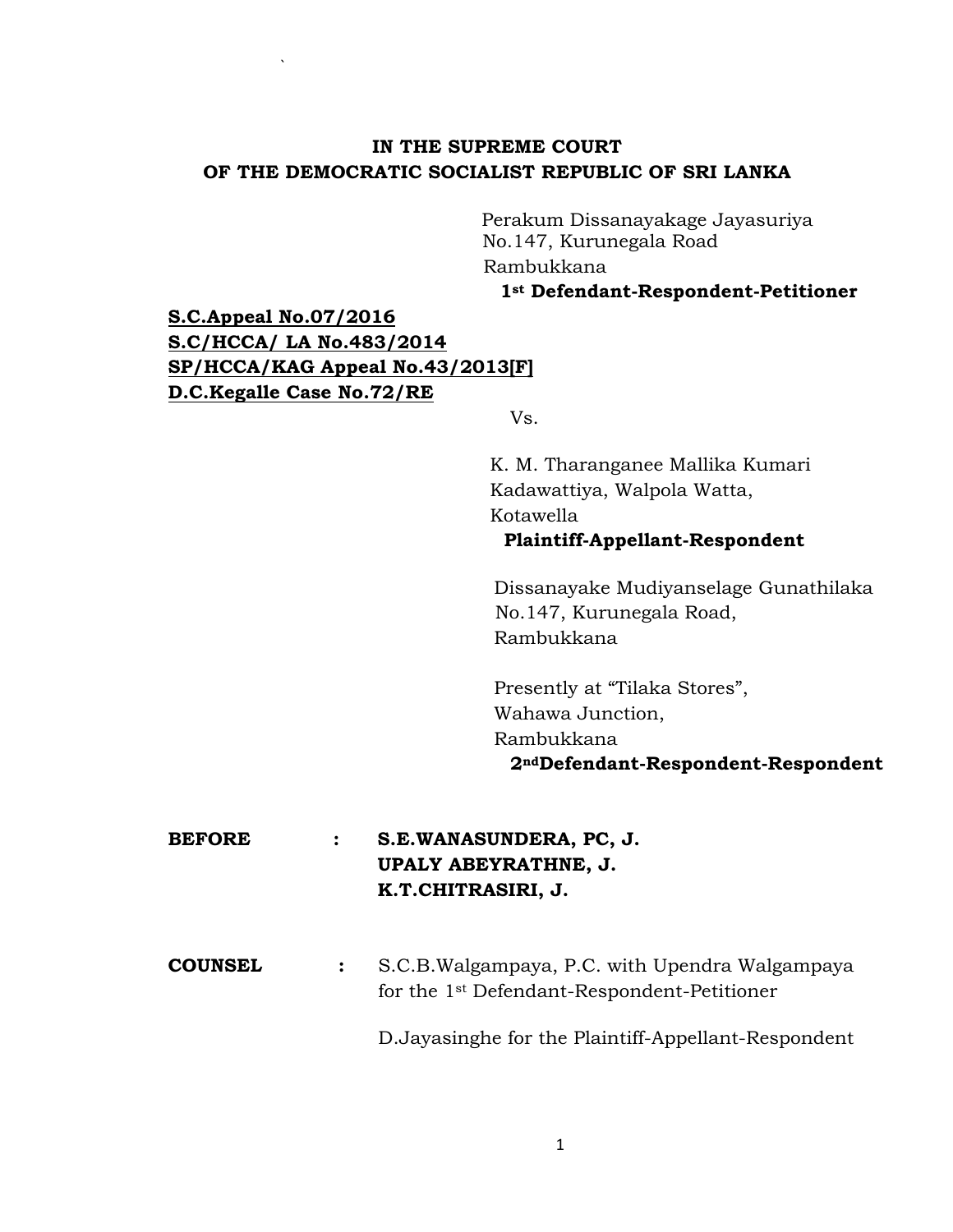# **IN THE SUPREME COURT OF THE DEMOCRATIC SOCIALIST REPUBLIC OF SRI LANKA**

Perakum Dissanayakage Jayasuriya No.147, Kurunegala Road Rambukkana

**1st Defendant-Respondent-Petitioner**

**S.C.Appeal No.07/2016 S.C/HCCA/ LA No.483/2014 SP/HCCA/KAG Appeal No.43/2013[F] D.C.Kegalle Case No.72/RE** 

`

Vs.

 K. M. Tharanganee Mallika Kumari Kadawattiya, Walpola Watta, Kotawella

## **Plaintiff-Appellant-Respondent**

 Dissanayake Mudiyanselage Gunathilaka No.147, Kurunegala Road, Rambukkana

 Presently at "Tilaka Stores", Wahawa Junction, Rambukkana **2ndDefendant-Respondent-Respondent**

**BEFORE : S.E.WANASUNDERA, PC, J. UPALY ABEYRATHNE, J. K.T.CHITRASIRI, J.**

**COUNSEL :** S.C.B.Walgampaya, P.C. with Upendra Walgampaya for the 1st Defendant-Respondent-Petitioner

D.Jayasinghe for the Plaintiff-Appellant-Respondent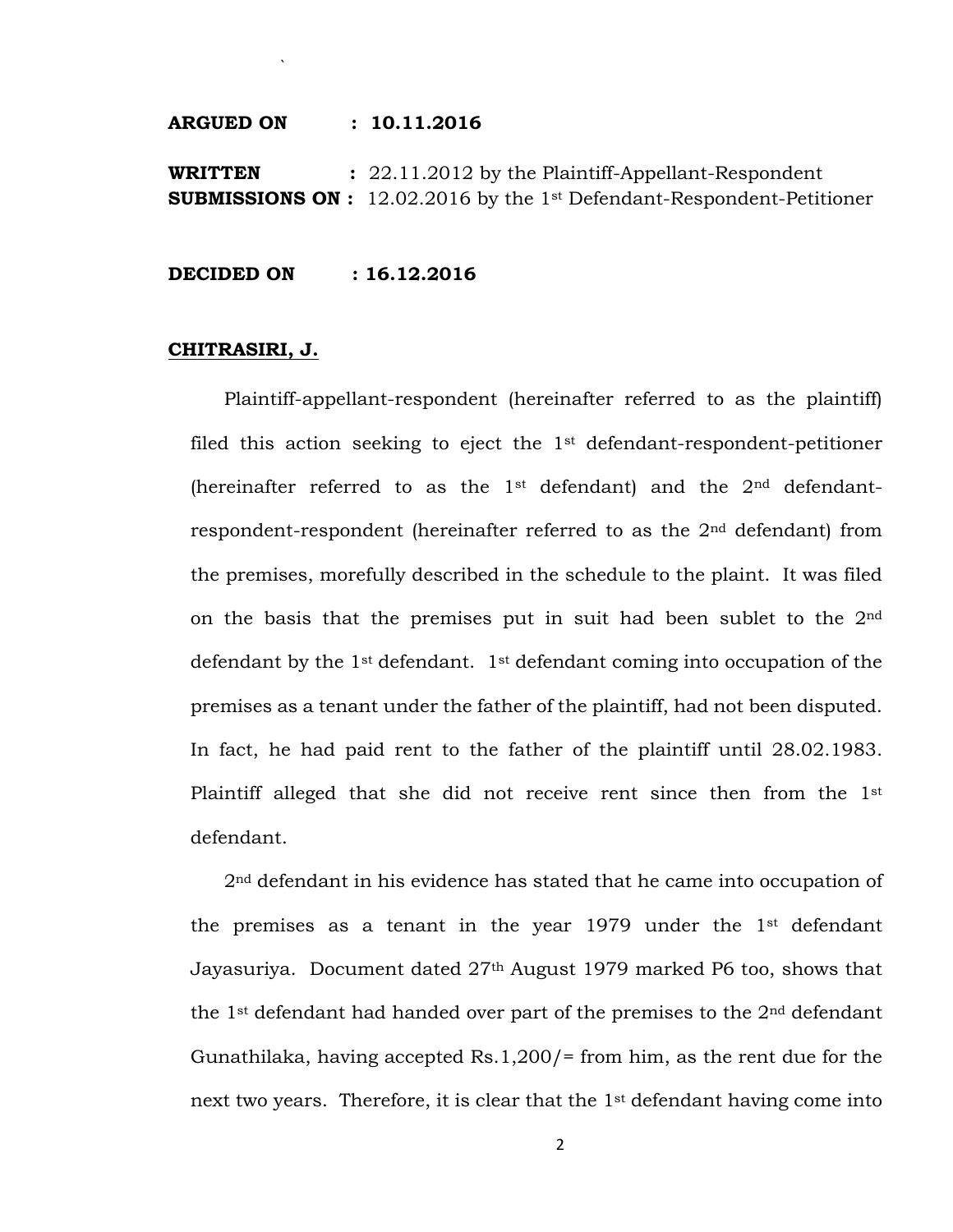**ARGUED ON : 10.11.2016**

`

**WRITTEN :** 22.11.2012 by the Plaintiff-Appellant-Respondent **SUBMISSIONS ON :** 12.02.2016 by the 1st Defendant-Respondent-Petitioner

**DECIDED ON : 16.12.2016**

#### **CHITRASIRI, J.**

Plaintiff-appellant-respondent (hereinafter referred to as the plaintiff) filed this action seeking to eject the 1st defendant-respondent-petitioner (hereinafter referred to as the  $1<sup>st</sup>$  defendant) and the  $2<sup>nd</sup>$  defendantrespondent-respondent (hereinafter referred to as the 2nd defendant) from the premises, morefully described in the schedule to the plaint. It was filed on the basis that the premises put in suit had been sublet to the  $2<sup>nd</sup>$ defendant by the 1st defendant. 1st defendant coming into occupation of the premises as a tenant under the father of the plaintiff, had not been disputed. In fact, he had paid rent to the father of the plaintiff until 28.02.1983. Plaintiff alleged that she did not receive rent since then from the 1st defendant.

2nd defendant in his evidence has stated that he came into occupation of the premises as a tenant in the year 1979 under the 1st defendant Jayasuriya. Document dated 27th August 1979 marked P6 too, shows that the 1<sup>st</sup> defendant had handed over part of the premises to the  $2<sup>nd</sup>$  defendant Gunathilaka, having accepted Rs.1,200/= from him, as the rent due for the next two years. Therefore, it is clear that the 1st defendant having come into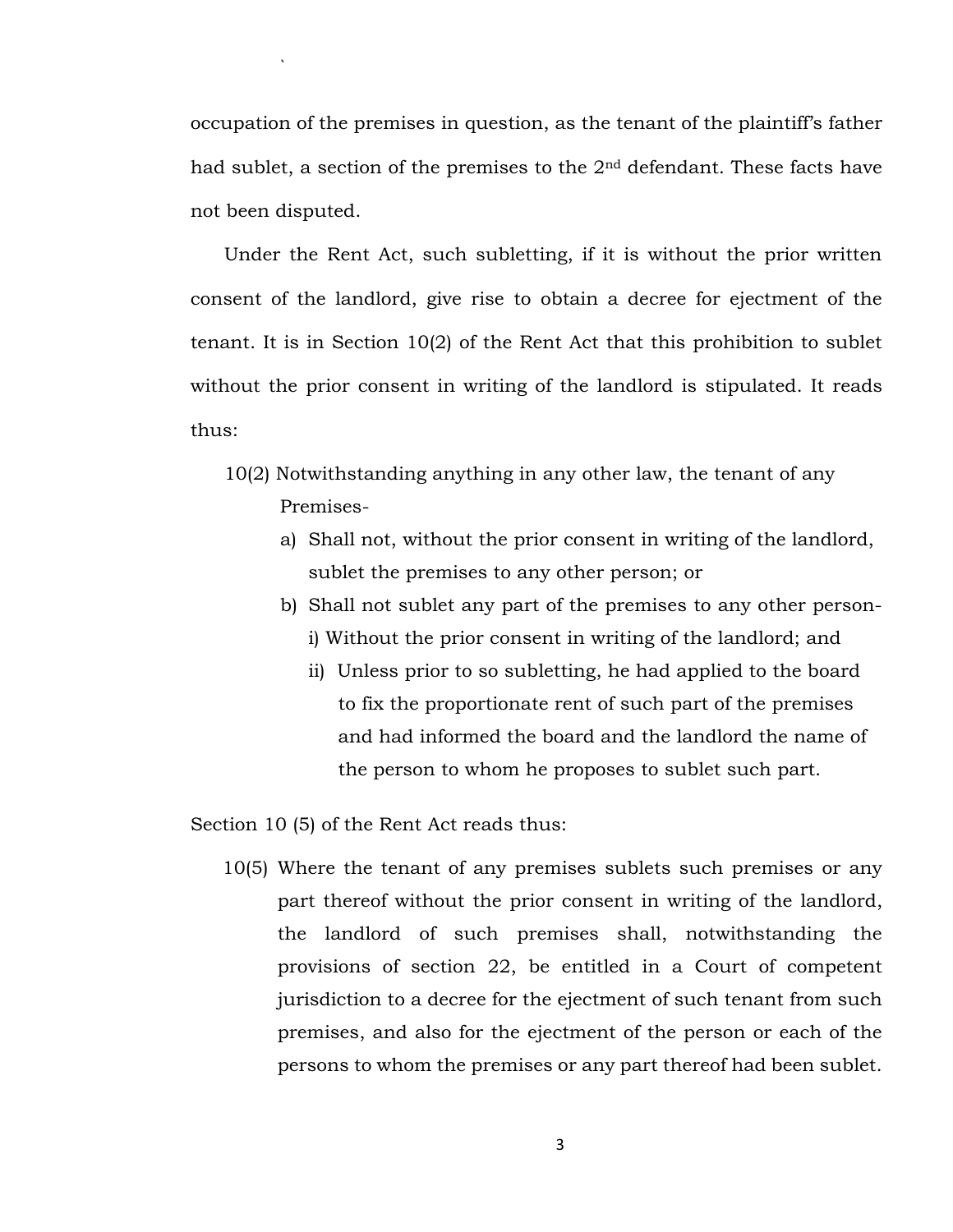occupation of the premises in question, as the tenant of the plaintiff's father had sublet, a section of the premises to the  $2<sup>nd</sup>$  defendant. These facts have not been disputed.

Under the Rent Act, such subletting, if it is without the prior written consent of the landlord, give rise to obtain a decree for ejectment of the tenant. It is in Section 10(2) of the Rent Act that this prohibition to sublet without the prior consent in writing of the landlord is stipulated. It reads thus:

- 10(2) Notwithstanding anything in any other law, the tenant of any Premises
	- a) Shall not, without the prior consent in writing of the landlord, sublet the premises to any other person; or
	- b) Shall not sublet any part of the premises to any other personi) Without the prior consent in writing of the landlord; and
		- ii) Unless prior to so subletting, he had applied to the board to fix the proportionate rent of such part of the premises and had informed the board and the landlord the name of the person to whom he proposes to sublet such part.

Section 10 (5) of the Rent Act reads thus:

`

10(5) Where the tenant of any premises sublets such premises or any part thereof without the prior consent in writing of the landlord, the landlord of such premises shall, notwithstanding the provisions of section 22, be entitled in a Court of competent jurisdiction to a decree for the ejectment of such tenant from such premises, and also for the ejectment of the person or each of the persons to whom the premises or any part thereof had been sublet.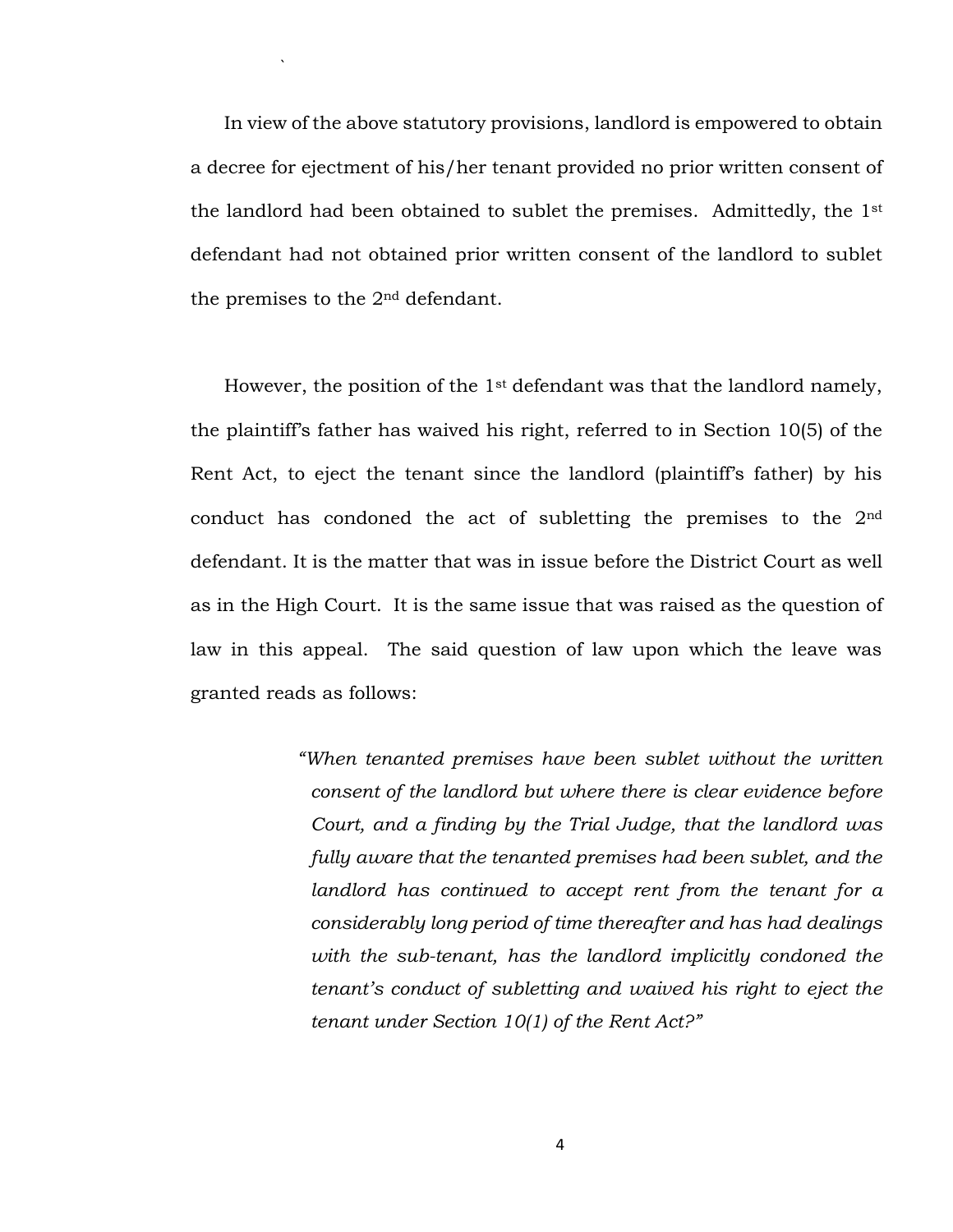In view of the above statutory provisions, landlord is empowered to obtain a decree for ejectment of his/her tenant provided no prior written consent of the landlord had been obtained to sublet the premises. Admittedly, the 1st defendant had not obtained prior written consent of the landlord to sublet the premises to the 2nd defendant.

`

However, the position of the 1st defendant was that the landlord namely, the plaintiff's father has waived his right, referred to in Section 10(5) of the Rent Act, to eject the tenant since the landlord (plaintiff's father) by his conduct has condoned the act of subletting the premises to the 2nd defendant. It is the matter that was in issue before the District Court as well as in the High Court. It is the same issue that was raised as the question of law in this appeal. The said question of law upon which the leave was granted reads as follows:

> *"When tenanted premises have been sublet without the written consent of the landlord but where there is clear evidence before Court, and a finding by the Trial Judge, that the landlord was fully aware that the tenanted premises had been sublet, and the landlord has continued to accept rent from the tenant for a considerably long period of time thereafter and has had dealings with the sub-tenant, has the landlord implicitly condoned the tenant's conduct of subletting and waived his right to eject the tenant under Section 10(1) of the Rent Act?"*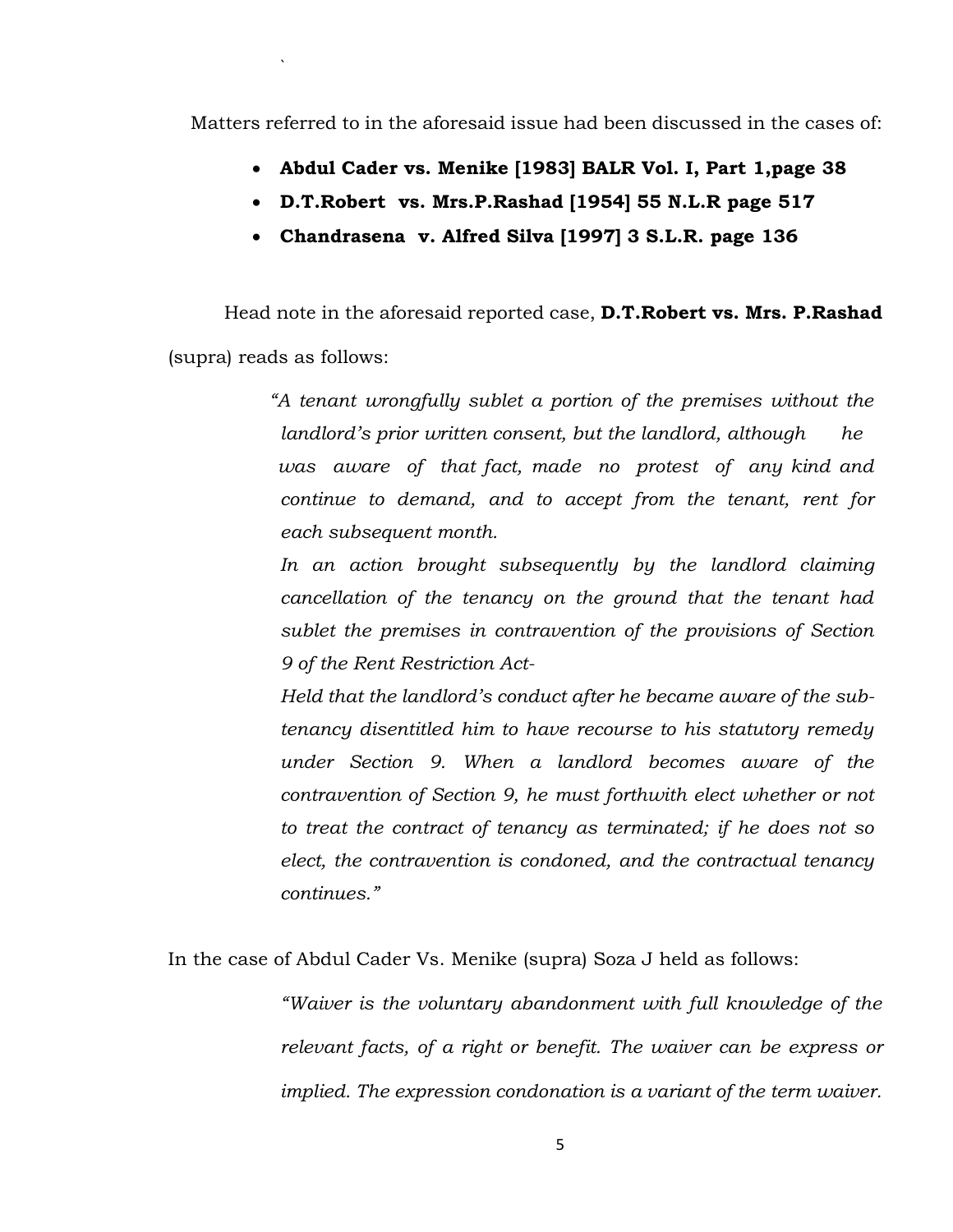Matters referred to in the aforesaid issue had been discussed in the cases of:

`

- **Abdul Cader vs. Menike [1983] BALR Vol. I, Part 1,page 38**
- **D.T.Robert vs. Mrs.P.Rashad [1954] 55 N.L.R page 517**
- **Chandrasena v. Alfred Silva [1997] 3 S.L.R. page 136**

Head note in the aforesaid reported case, **D.T.Robert vs. Mrs. P.Rashad** (supra) reads as follows:

> *"A tenant wrongfully sublet a portion of the premises without the landlord's prior written consent, but the landlord, although he was aware of that fact, made no protest of any kind and continue to demand, and to accept from the tenant, rent for each subsequent month.*

*In an action brought subsequently by the landlord claiming cancellation of the tenancy on the ground that the tenant had sublet the premises in contravention of the provisions of Section 9 of the Rent Restriction Act-*

*Held that the landlord's conduct after he became aware of the subtenancy disentitled him to have recourse to his statutory remedy under Section 9. When a landlord becomes aware of the contravention of Section 9, he must forthwith elect whether or not to treat the contract of tenancy as terminated; if he does not so elect, the contravention is condoned, and the contractual tenancy continues."*

In the case of Abdul Cader Vs. Menike (supra) Soza J held as follows:

*"Waiver is the voluntary abandonment with full knowledge of the relevant facts, of a right or benefit. The waiver can be express or implied. The expression condonation is a variant of the term waiver.*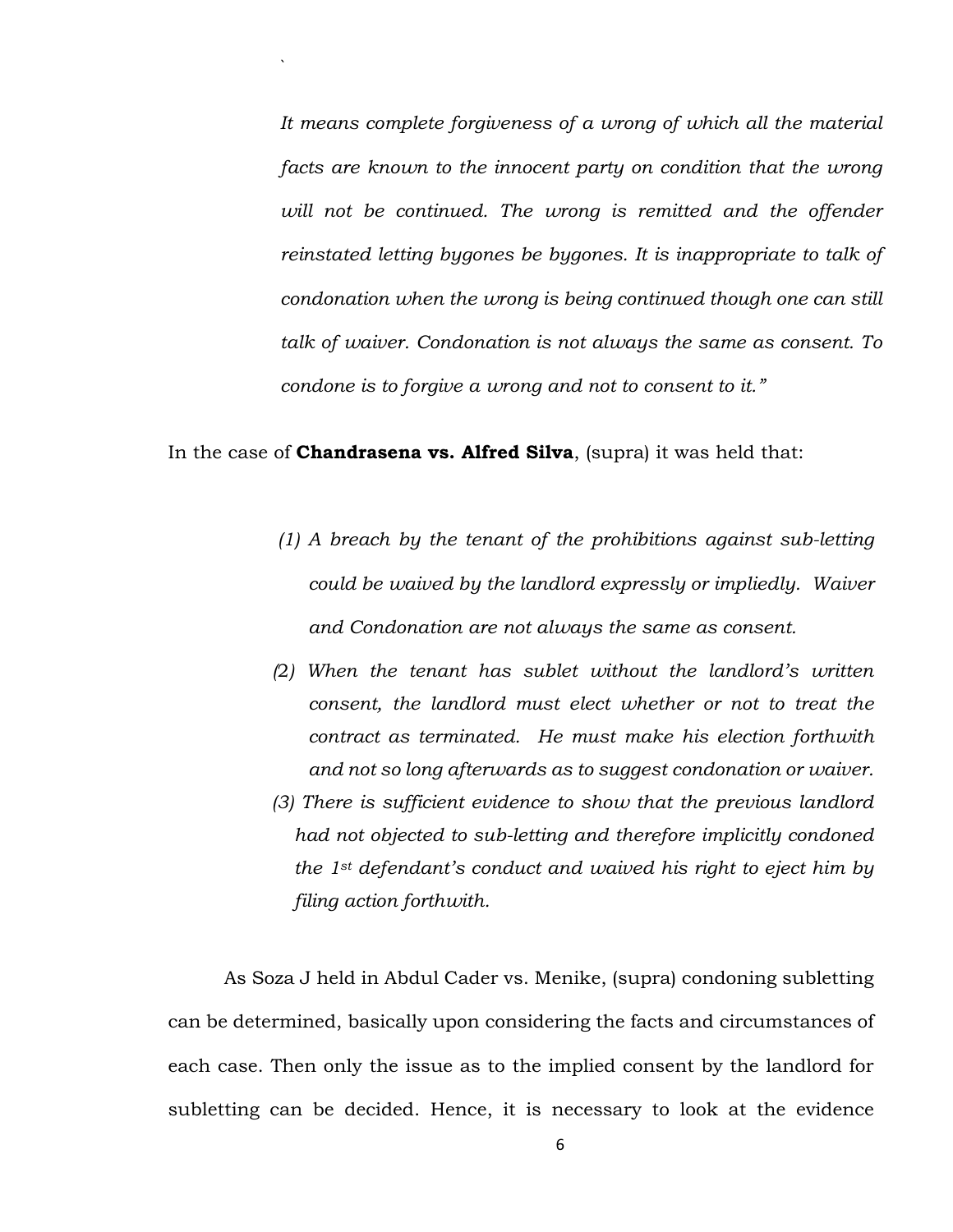*It means complete forgiveness of a wrong of which all the material facts are known to the innocent party on condition that the wrong* will not be continued. The wrong is remitted and the offender *reinstated letting bygones be bygones. It is inappropriate to talk of condonation when the wrong is being continued though one can still talk of waiver. Condonation is not always the same as consent. To condone is to forgive a wrong and not to consent to it."*

#### In the case of **Chandrasena vs. Alfred Silva**, (supra) it was held that:

`

- *(1) A breach by the tenant of the prohibitions against sub-letting could be waived by the landlord expressly or impliedly. Waiver and Condonation are not always the same as consent.*
- *(*2*) When the tenant has sublet without the landlord's written consent, the landlord must elect whether or not to treat the contract as terminated. He must make his election forthwith and not so long afterwards as to suggest condonation or waiver.*
- *(3) There is sufficient evidence to show that the previous landlord had not objected to sub-letting and therefore implicitly condoned the 1st defendant's conduct and waived his right to eject him by filing action forthwith.*

As Soza J held in Abdul Cader vs. Menike, (supra) condoning subletting can be determined, basically upon considering the facts and circumstances of each case. Then only the issue as to the implied consent by the landlord for subletting can be decided. Hence, it is necessary to look at the evidence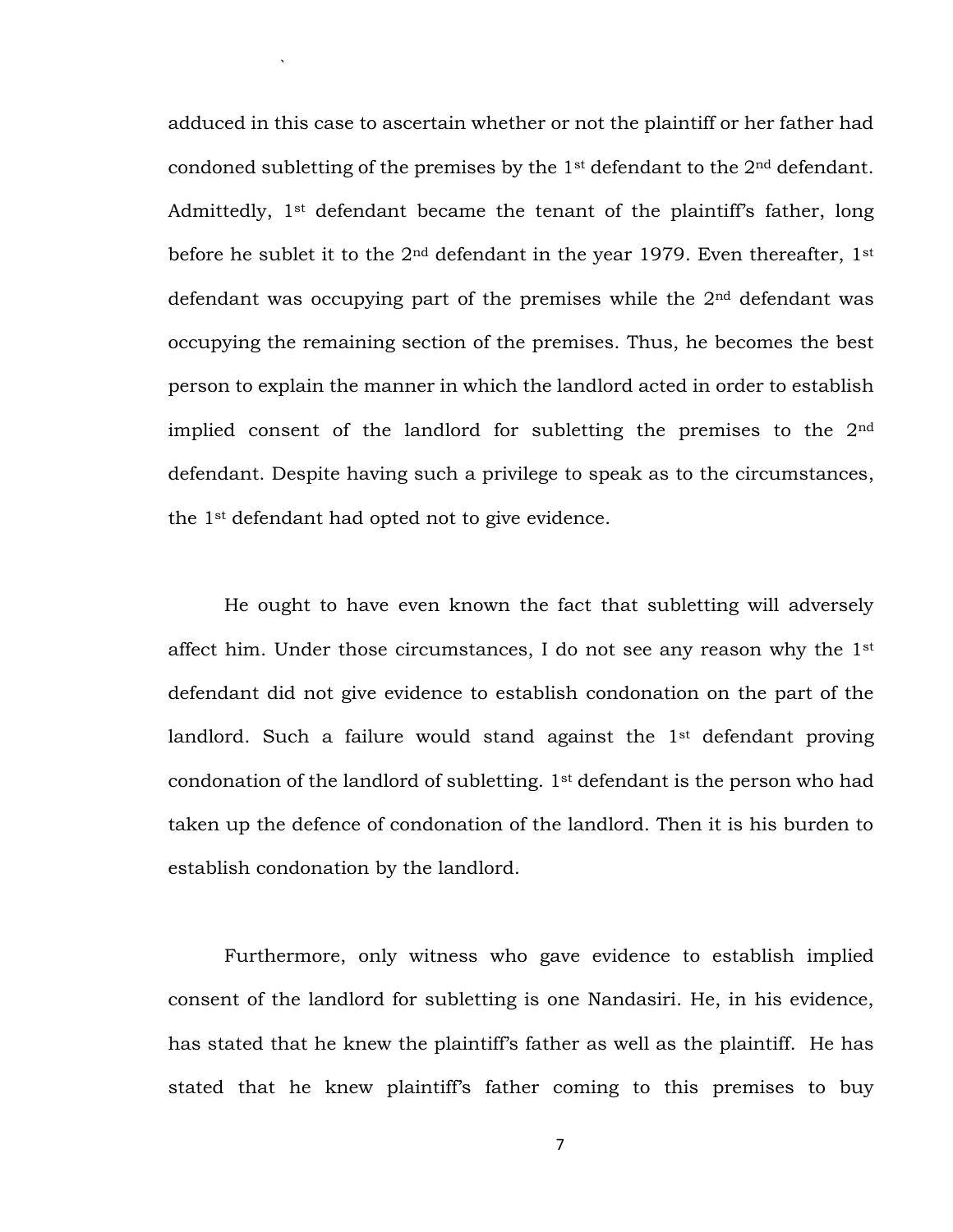adduced in this case to ascertain whether or not the plaintiff or her father had condoned subletting of the premises by the  $1<sup>st</sup>$  defendant to the  $2<sup>nd</sup>$  defendant. Admittedly, 1st defendant became the tenant of the plaintiff's father, long before he sublet it to the  $2<sup>nd</sup>$  defendant in the year 1979. Even thereafter, 1<sup>st</sup> defendant was occupying part of the premises while the  $2<sup>nd</sup>$  defendant was occupying the remaining section of the premises. Thus, he becomes the best person to explain the manner in which the landlord acted in order to establish implied consent of the landlord for subletting the premises to the  $2<sup>nd</sup>$ defendant. Despite having such a privilege to speak as to the circumstances, the 1st defendant had opted not to give evidence.

`

He ought to have even known the fact that subletting will adversely affect him. Under those circumstances, I do not see any reason why the 1<sup>st</sup> defendant did not give evidence to establish condonation on the part of the landlord. Such a failure would stand against the 1<sup>st</sup> defendant proving condonation of the landlord of subletting. 1st defendant is the person who had taken up the defence of condonation of the landlord. Then it is his burden to establish condonation by the landlord.

Furthermore, only witness who gave evidence to establish implied consent of the landlord for subletting is one Nandasiri. He, in his evidence, has stated that he knew the plaintiff's father as well as the plaintiff. He has stated that he knew plaintiff's father coming to this premises to buy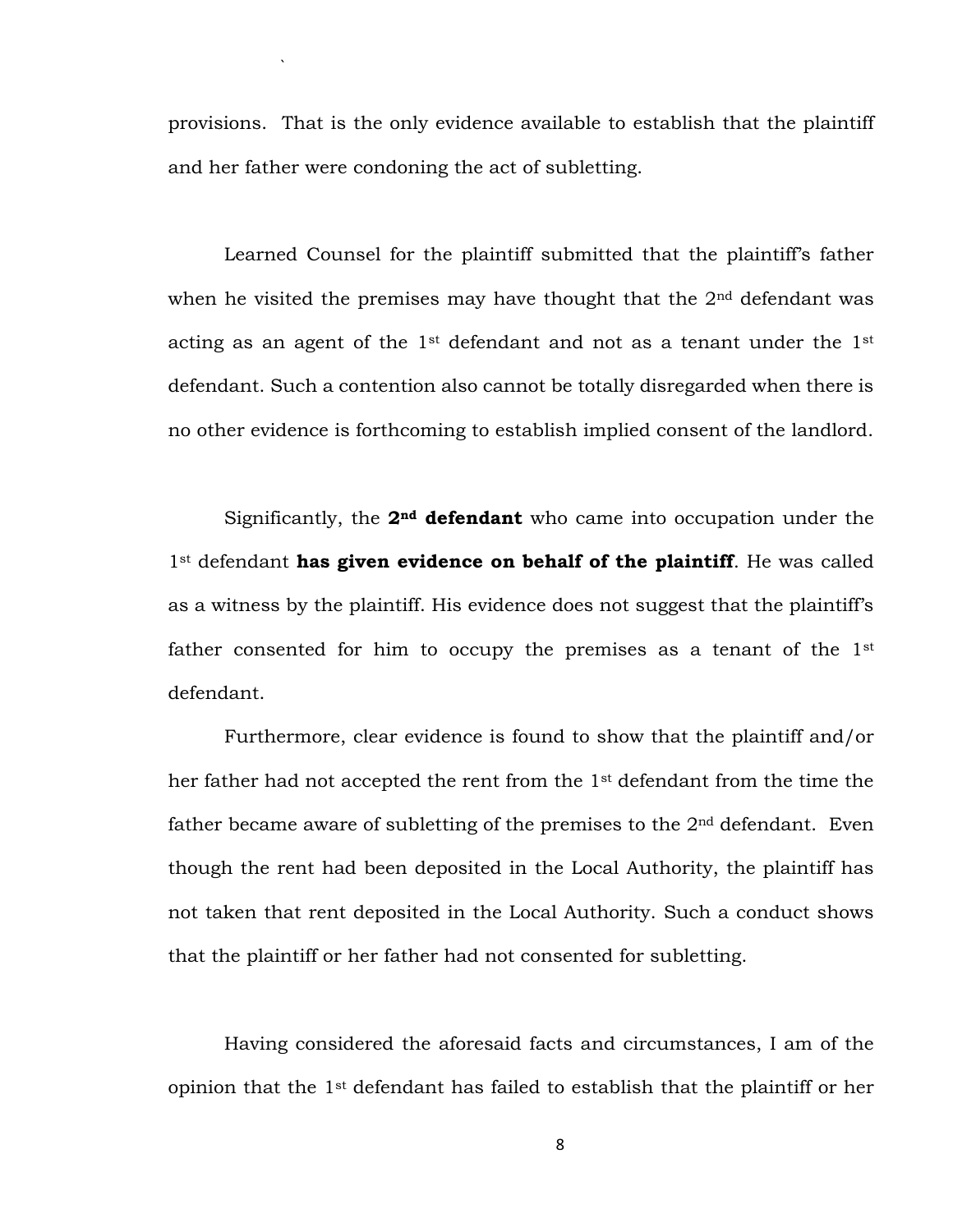provisions. That is the only evidence available to establish that the plaintiff and her father were condoning the act of subletting.

`

Learned Counsel for the plaintiff submitted that the plaintiff's father when he visited the premises may have thought that the  $2<sup>nd</sup>$  defendant was acting as an agent of the 1st defendant and not as a tenant under the 1st defendant. Such a contention also cannot be totally disregarded when there is no other evidence is forthcoming to establish implied consent of the landlord.

Significantly, the **2nd defendant** who came into occupation under the 1st defendant **has given evidence on behalf of the plaintiff**. He was called as a witness by the plaintiff. His evidence does not suggest that the plaintiff's father consented for him to occupy the premises as a tenant of the 1<sup>st</sup> defendant.

Furthermore, clear evidence is found to show that the plaintiff and/or her father had not accepted the rent from the 1st defendant from the time the father became aware of subletting of the premises to the  $2<sup>nd</sup>$  defendant. Even though the rent had been deposited in the Local Authority, the plaintiff has not taken that rent deposited in the Local Authority. Such a conduct shows that the plaintiff or her father had not consented for subletting.

Having considered the aforesaid facts and circumstances, I am of the opinion that the 1st defendant has failed to establish that the plaintiff or her